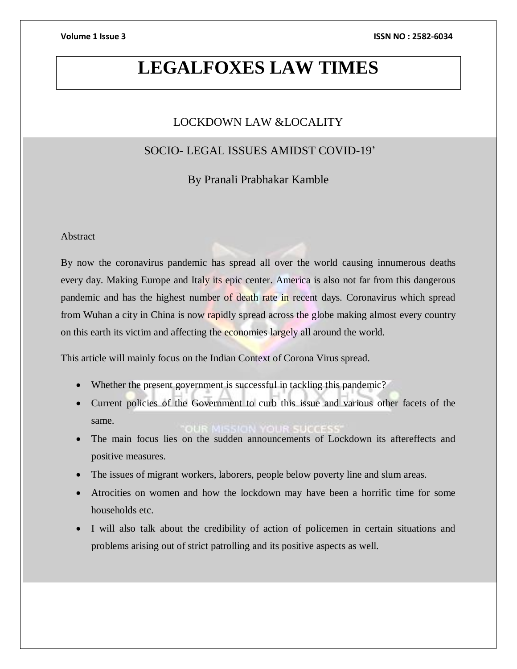# **LEGALFOXES LAW TIMES**

# LOCKDOWN LAW &LOCALITY

# SOCIO- LEGAL ISSUES AMIDST COVID-19'

By Pranali Prabhakar Kamble

# **Abstract**

By now the coronavirus pandemic has spread all over the world causing innumerous deaths every day. Making Europe and Italy its epic center. America is also not far from this dangerous pandemic and has the highest number of death rate in recent days. Coronavirus which spread from Wuhan a city in China is now rapidly spread across the globe making almost every country on this earth its victim and affecting the economies largely all around the world.

This article will mainly focus on the Indian Context of Corona Virus spread.

- Whether the present government is successful in tackling this pandemic?
- Current policies of the Government to curb this issue and various other facets of the same.
- The main focus lies on the sudden announcements of Lockdown its aftereffects and positive measures.
- The issues of migrant workers, laborers, people below poverty line and slum areas.
- Atrocities on women and how the lockdown may have been a horrific time for some households etc.
- I will also talk about the credibility of action of policemen in certain situations and problems arising out of strict patrolling and its positive aspects as well.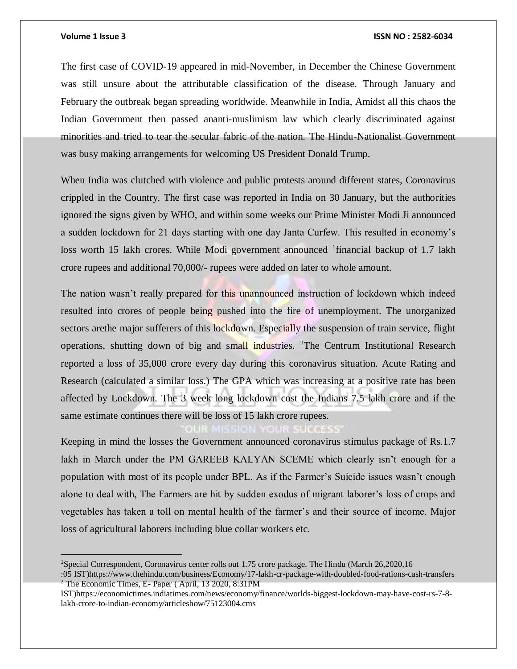$\overline{a}$ 

### **Volume 1 Issue 3 ISSN NO : 2582-6034**

The first case of COVID-19 appeared in mid-November, in December the Chinese Government was still unsure about the attributable classification of the disease. Through January and February the outbreak began spreading worldwide. Meanwhile in India, Amidst all this chaos the Indian Government then passed ananti-muslimism law which clearly discriminated against minorities and tried to tear the secular fabric of the nation. The Hindu-Nationalist Government was busy making arrangements for welcoming US President Donald Trump.

When India was clutched with violence and public protests around different states, Coronavirus crippled in the Country. The first case was reported in India on 30 January, but the authorities ignored the signs given by WHO, and within some weeks our Prime Minister Modi Ji announced a sudden lockdown for 21 days starting with one day Janta Curfew. This resulted in economy's loss worth 15 lakh crores. While Modi government announced <sup>1</sup>financial backup of 1.7 lakh crore rupees and additional 70,000/- rupees were added on later to whole amount.

The nation wasn't really prepared for this unannounced instruction of lockdown which indeed resulted into crores of people being pushed into the fire of unemployment. The unorganized sectors arethe major sufferers of this lockdown. Especially the suspension of train service, flight operations, shutting down of big and small industries. <sup>2</sup>The Centrum Institutional Research reported a loss of 35,000 crore every day during this coronavirus situation. Acute Rating and Research (calculated a similar loss.) The GPA which was increasing at a positive rate has been affected by Lockdown. The 3 week long lockdown cost the Indians 7.5 lakh crore and if the same estimate continues there will be loss of 15 lakh crore rupees.

Keeping in mind the losses the Government announced coronavirus stimulus package of Rs.1.7 lakh in March under the PM GAREEB KALYAN SCEME which clearly isn't enough for a population with most of its people under BPL. As if the Farmer's Suicide issues wasn't enough alone to deal with, The Farmers are hit by sudden exodus of migrant laborer's loss of crops and vegetables has taken a toll on mental health of the farmer's and their source of income. Major loss of agricultural laborers including blue collar workers etc.

<sup>1</sup>Special Correspondent, Coronavirus center rolls out 1.75 crore package, The Hindu (March 26,2020,16 :05 IST)https://www.thehindu.com/business/Economy/17-lakh-cr-package-with-doubled-food-rations-cash-transfers  $2^2$  The Economic Times, E- Paper (April, 13 2020, 8:31PM

IST)https://economictimes.indiatimes.com/news/economy/finance/worlds-biggest-lockdown-may-have-cost-rs-7-8 lakh-crore-to-indian-economy/articleshow/75123004.cms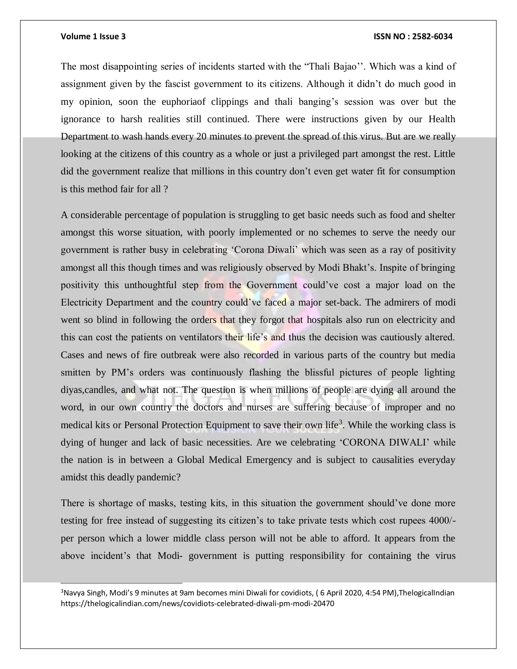l

### **Volume 1 Issue 3 ISSN NO : 2582-6034**

The most disappointing series of incidents started with the "Thali Bajao''. Which was a kind of assignment given by the fascist government to its citizens. Although it didn't do much good in my opinion, soon the euphoriaof clippings and thali banging's session was over but the ignorance to harsh realities still continued. There were instructions given by our Health Department to wash hands every 20 minutes to prevent the spread of this virus. But are we really looking at the citizens of this country as a whole or just a privileged part amongst the rest. Little did the government realize that millions in this country don't even get water fit for consumption is this method fair for all ?

A considerable percentage of population is struggling to get basic needs such as food and shelter amongst this worse situation, with poorly implemented or no schemes to serve the needy our government is rather busy in celebrating 'Corona Diwali' which was seen as a ray of positivity amongst all this though times and was religiously observed by Modi Bhakt's. Inspite of bringing positivity this unthoughtful step from the Government could've cost a major load on the Electricity Department and the country could've faced a major set-back. The admirers of modi went so blind in following the orders that they forgot that hospitals also run on electricity and this can cost the patients on ventilators their life's and thus the decision was cautiously altered. Cases and news of fire outbreak were also recorded in various parts of the country but media smitten by PM's orders was continuously flashing the blissful pictures of people lighting diyas,candles, and what not. The question is when millions of people are dying all around the word, in our own country the doctors and nurses are suffering because of improper and no medical kits or Personal Protection Equipment to save their own life<sup>3</sup>. While the working class is dying of hunger and lack of basic necessities. Are we celebrating 'CORONA DIWALI' while the nation is in between a Global Medical Emergency and is subject to causalities everyday amidst this deadly pandemic?

There is shortage of masks, testing kits, in this situation the government should've done more testing for free instead of suggesting its citizen's to take private tests which cost rupees 4000/ per person which a lower middle class person will not be able to afford. It appears from the above incident's that Modi- government is putting responsibility for containing the virus

<sup>&</sup>lt;sup>3</sup>Navya Singh, Modi's 9 minutes at 9am becomes mini Diwali for covidiots, (6 April 2020, 4:54 PM),ThelogicalIndian https://thelogicalindian.com/news/covidiots-celebrated-diwali-pm-modi-20470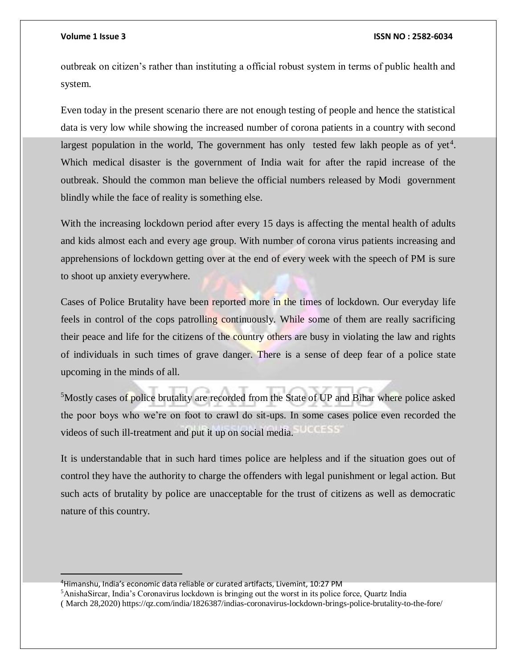## **Volume 1 Issue 3 ISSN NO : 2582-6034**

outbreak on citizen's rather than instituting a official robust system in terms of public health and system.

Even today in the present scenario there are not enough testing of people and hence the statistical data is very low while showing the increased number of corona patients in a country with second largest population in the world, The government has only tested few lakh people as of yet<sup>4</sup>. Which medical disaster is the government of India wait for after the rapid increase of the outbreak. Should the common man believe the official numbers released by Modi government blindly while the face of reality is something else.

With the increasing lockdown period after every 15 days is affecting the mental health of adults and kids almost each and every age group. With number of corona virus patients increasing and apprehensions of lockdown getting over at the end of every week with the speech of PM is sure to shoot up anxiety everywhere.

Cases of Police Brutality have been reported more in the times of lockdown. Our everyday life feels in control of the cops patrolling continuously. While some of them are really sacrificing their peace and life for the citizens of the country others are busy in violating the law and rights of individuals in such times of grave danger. There is a sense of deep fear of a police state upcoming in the minds of all.

<sup>5</sup>Mostly cases of police brutality are recorded from the State of UP and Bihar where police asked the poor boys who we're on foot to crawl do sit-ups. In some cases police even recorded the  $(0.01555)$ videos of such ill-treatment and put it up on social media.

It is understandable that in such hard times police are helpless and if the situation goes out of control they have the authority to charge the offenders with legal punishment or legal action. But such acts of brutality by police are unacceptable for the trust of citizens as well as democratic nature of this country.

<sup>4</sup>Himanshu, India's economic data reliable or curated artifacts, Livemint, 10:27 PM

<sup>5</sup>AnishaSircar, India's Coronavirus lockdown is bringing out the worst in its police force, Quartz India

<sup>(</sup> March 28,2020) https://qz.com/india/1826387/indias-coronavirus-lockdown-brings-police-brutality-to-the-fore/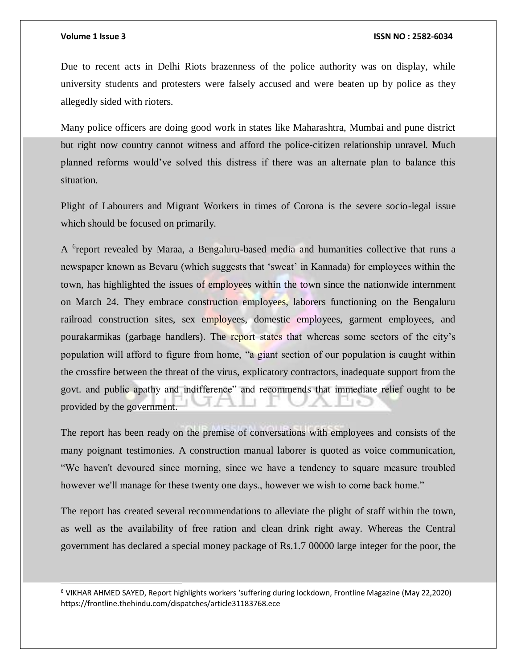l

Due to recent acts in Delhi Riots brazenness of the police authority was on display, while university students and protesters were falsely accused and were beaten up by police as they allegedly sided with rioters.

Many police officers are doing good work in states like Maharashtra, Mumbai and pune district but right now country cannot witness and afford the police-citizen relationship unravel. Much planned reforms would've solved this distress if there was an alternate plan to balance this situation.

Plight of Labourers and Migrant Workers in times of Corona is the severe socio-legal issue which should be focused on primarily.

A <sup>6</sup>report revealed by Maraa, a Bengaluru-based media and humanities collective that runs a newspaper known as Bevaru (which suggests that 'sweat' in Kannada) for employees within the town, has highlighted the issues of employees within the town since the nationwide internment on March 24. They embrace construction employees, laborers functioning on the Bengaluru railroad construction sites, sex employees, domestic employees, garment employees, and pourakarmikas (garbage handlers). The report states that whereas some sectors of the city's population will afford to figure from home, "a giant section of our population is caught within the crossfire between the threat of the virus, explicatory contractors, inadequate support from the govt. and public apathy and indifference" and recommends that immediate relief ought to be provided by the government.

The report has been ready on the premise of conversations with employees and consists of the many poignant testimonies. A construction manual laborer is quoted as voice communication, "We haven't devoured since morning, since we have a tendency to square measure troubled however we'll manage for these twenty one days., however we wish to come back home."

The report has created several recommendations to alleviate the plight of staff within the town, as well as the availability of free ration and clean drink right away. Whereas the Central government has declared a special money package of Rs.1.7 00000 large integer for the poor, the

<sup>6</sup> VIKHAR AHMED SAYED, Report highlights workers 'suffering during lockdown, Frontline Magazine (May 22,2020) https://frontline.thehindu.com/dispatches/article31183768.ece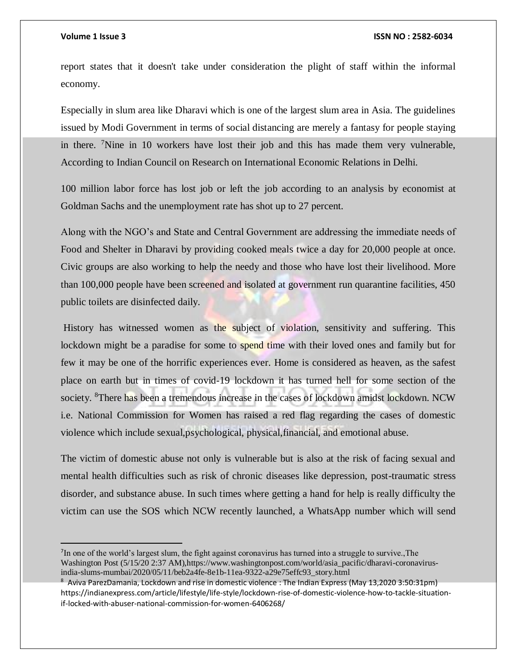$\overline{a}$ 

### **Volume 1 Issue 3 ISSN NO : 2582-6034**

report states that it doesn't take under consideration the plight of staff within the informal economy.

Especially in slum area like Dharavi which is one of the largest slum area in Asia. The guidelines issued by Modi Government in terms of social distancing are merely a fantasy for people staying in there. <sup>7</sup>Nine in 10 workers have lost their job and this has made them very vulnerable, According to Indian Council on Research on International Economic Relations in Delhi.

100 million labor force has lost job or left the job according to an analysis by economist at Goldman Sachs and the unemployment rate has shot up to 27 percent.

Along with the NGO's and State and Central Government are addressing the immediate needs of Food and Shelter in Dharavi by providing cooked meals twice a day for 20,000 people at once. Civic groups are also working to help the needy and those who have lost their livelihood. More than 100,000 people have been screened and isolated at government run quarantine facilities, 450 public toilets are disinfected daily.

History has witnessed women as the subject of violation, sensitivity and suffering. This lockdown might be a paradise for some to spend time with their loved ones and family but for few it may be one of the horrific experiences ever. Home is considered as heaven, as the safest place on earth but in times of covid-19 lockdown it has turned hell for some section of the society. <sup>8</sup>There has been a tremendous increase in the cases of lockdown amidst lockdown. NCW i.e. National Commission for Women has raised a red flag regarding the cases of domestic violence which include sexual,psychological, physical,financial, and emotional abuse.

The victim of domestic abuse not only is vulnerable but is also at the risk of facing sexual and mental health difficulties such as risk of chronic diseases like depression, post-traumatic stress disorder, and substance abuse. In such times where getting a hand for help is really difficulty the victim can use the SOS which NCW recently launched, a WhatsApp number which will send

<sup>7</sup>In one of the world's largest slum, the fight against coronavirus has turned into a struggle to survive., The Washington Post (5/15/20 2:37 AM),https://www.washingtonpost.com/world/asia\_pacific/dharavi-coronavirusindia-slums-mumbai/2020/05/11/beb2a4fe-8e1b-11ea-9322-a29e75effc93\_story.html

<sup>8</sup> Aviva ParezDamania, Lockdown and rise in domestic violence : The Indian Express (May 13,2020 3:50:31pm) https://indianexpress.com/article/lifestyle/life-style/lockdown-rise-of-domestic-violence-how-to-tackle-situationif-locked-with-abuser-national-commission-for-women-6406268/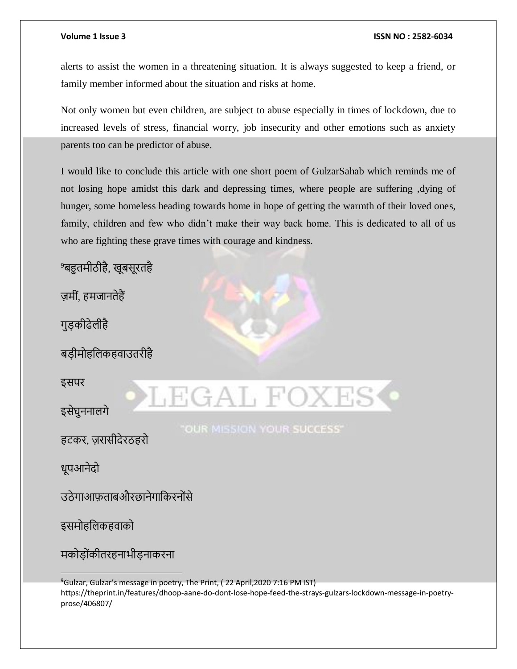# **Volume 1 Issue 3 ISSN NO : 2582-6034**

alerts to assist the women in a threatening situation. It is always suggested to keep a friend, or family member informed about the situation and risks at home.

Not only women but even children, are subject to abuse especially in times of lockdown, due to increased levels of stress, financial worry, job insecurity and other emotions such as anxiety parents too can be predictor of abuse.

I would like to conclude this article with one short poem of GulzarSahab which reminds me of not losing hope amidst this dark and depressing times, where people are suffering ,dying of hunger, some homeless heading towards home in hope of getting the warmth of their loved ones, family, children and few who didn't make their way back home. This is dedicated to all of us who are fighting these grave times with courage and kindness.

<sup>9</sup>बहुतमीठीहै, खूबसूरतहै

ज़मीं, हमजानतेहैं

गुड़कीढेलीहै

बड़ीमोहललकहवाउतरीहै

इसपर

इसेघुननालगे

हटकर, ज़रासीदेरठहरो

धूपआनेदो

उठेगाआफताबऔरछानेगाकिरनोंसे

इसमोहललकहवाको

मकोड़ोींकीतरहनाभीड़नाकरना

<sup>9</sup>Gulzar, Gulzar's message in poetry, The Print, (22 April, 2020 7:16 PM IST) https://theprint.in/features/dhoop-aane-do-dont-lose-hope-feed-the-strays-gulzars-lockdown-message-in-poetryprose/406807/

"OUR MISSION YOUR SUCCESS"

LEGAL F